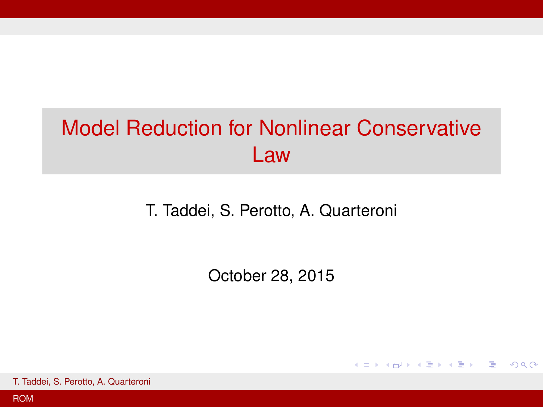# <span id="page-0-0"></span>Model Reduction for Nonlinear Conservative Law

T. Taddei, S. Perotto, A. Quarteroni

October 28, 2015

KO KARK KEK KEK E YOKO

T. Taddei, S. Perotto, A. Quarteroni

[ROM](#page-6-0)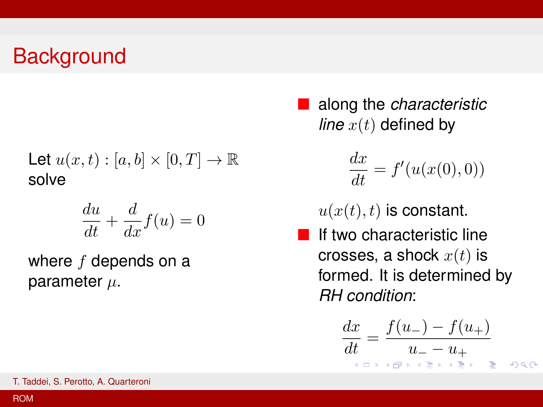# **Background**

Let 
$$
u(x, t) : [a, b] \times [0, T] \to \mathbb{R}
$$
  
solve

$$
\frac{du}{dt} + \frac{d}{dx}f(u) = 0
$$

where  $f$  depends on a parameter  $\mu$ .

■ along the *characteristic line*  $x(t)$  defined by

$$
\frac{dx}{dt} = f'(u(x(0),0))
$$

 $u(x(t), t)$  is constant.

 $\blacksquare$  If two characteristic line crosses, a shock  $x(t)$  is formed. It is determined by *RH condition*:

$$
\frac{dx}{dt} = \frac{f(u_-) - f(u_+)}{u_- - u_+}
$$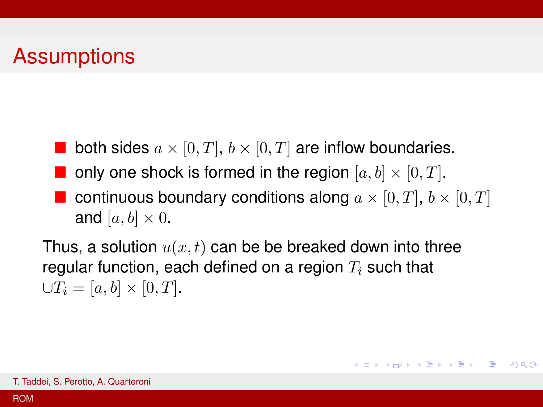# Assumptions

- both sides  $a \times [0, T]$ ,  $b \times [0, T]$  are inflow boundaries.
- **n** only one shock is formed in the region  $[a, b] \times [0, T]$ .
	- continuous boundary conditions along  $a \times [0, T]$ ,  $b \times [0, T]$ and  $[a, b] \times 0$ .

KO KARA KE KA EK GERAK

Thus, a solution  $u(x, t)$  can be be breaked down into three regular function, each defined on a region  $T_i$  such that  $\bigcup T_i = [a, b] \times [0, T].$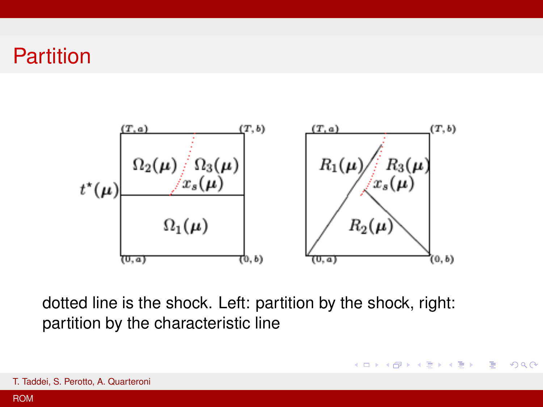#### Partition



dotted line is the shock. Left: partition by the shock, right: partition by the characteristic line

**K ロ > K 個 > K 差 > K 差 > 一差** 

 $298$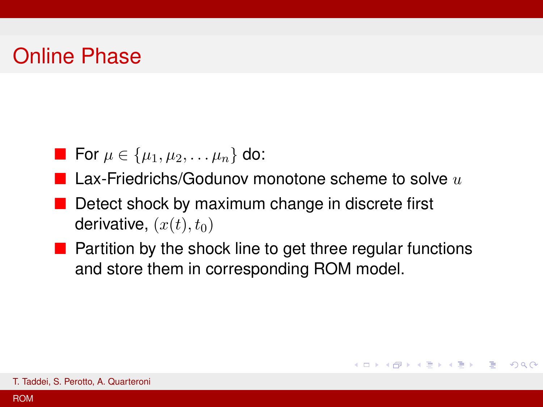### Online Phase

For 
$$
\mu \in {\mu_1, \mu_2, \ldots \mu_n}
$$
 do:

- **Lax-Friedrichs/Godunov monotone scheme to solve**  $u$
- $\blacksquare$  Detect shock by maximum change in discrete first derivative,  $(x(t), t_0)$
- $\blacksquare$  Partition by the shock line to get three regular functions and store them in corresponding ROM model.

KO KARA KE KA EK GERAK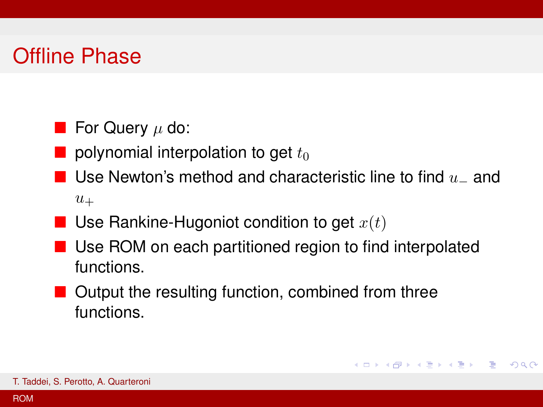# Offline Phase

- **For Query**  $\mu$  do:
- polynomial interpolation to get  $t_0$
- Use Newton's method and characteristic line to find  $u_-\,$  and  $u_+$
- Use Rankine-Hugoniot condition to get  $x(t)$
- Use ROM on each partitioned region to find interpolated functions.

K ロ ▶ K @ ▶ K 할 ▶ K 할 ▶ | 할 | +9 Q Q ^

**Output the resulting function, combined from three** functions.